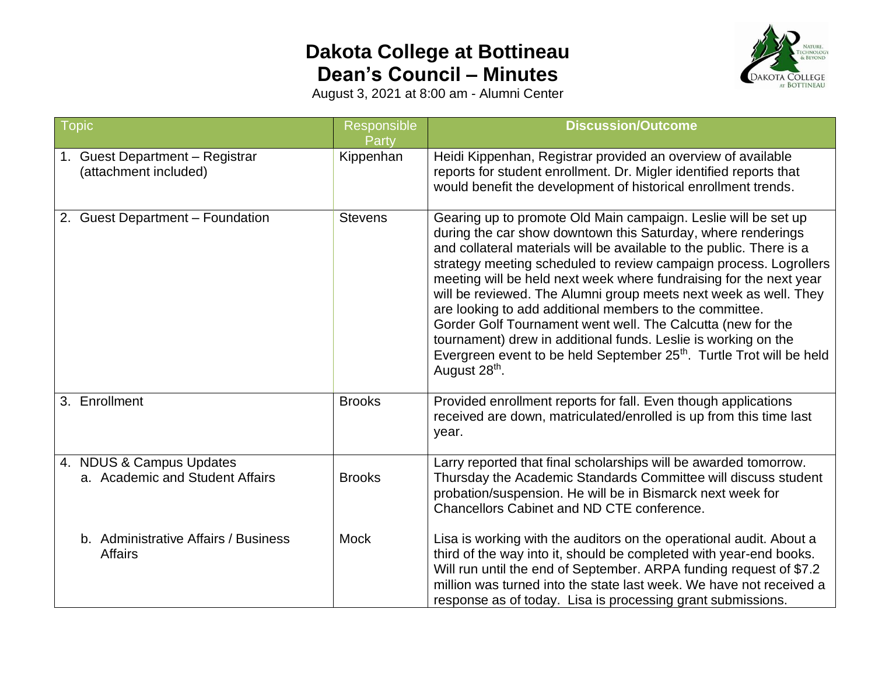## **Dakota College at Bottineau Dean's Council – Minutes**



August 3, 2021 at 8:00 am - Alumni Center

| <b>Topic</b>                                                | Responsible<br>Party | <b>Discussion/Outcome</b>                                                                                                                                                                                                                                                                                                                                                                                                                                                                                                                                                                                                                                                                                                          |
|-------------------------------------------------------------|----------------------|------------------------------------------------------------------------------------------------------------------------------------------------------------------------------------------------------------------------------------------------------------------------------------------------------------------------------------------------------------------------------------------------------------------------------------------------------------------------------------------------------------------------------------------------------------------------------------------------------------------------------------------------------------------------------------------------------------------------------------|
| 1. Guest Department - Registrar<br>(attachment included)    | Kippenhan            | Heidi Kippenhan, Registrar provided an overview of available<br>reports for student enrollment. Dr. Migler identified reports that<br>would benefit the development of historical enrollment trends.                                                                                                                                                                                                                                                                                                                                                                                                                                                                                                                               |
| 2. Guest Department - Foundation                            | <b>Stevens</b>       | Gearing up to promote Old Main campaign. Leslie will be set up<br>during the car show downtown this Saturday, where renderings<br>and collateral materials will be available to the public. There is a<br>strategy meeting scheduled to review campaign process. Logrollers<br>meeting will be held next week where fundraising for the next year<br>will be reviewed. The Alumni group meets next week as well. They<br>are looking to add additional members to the committee.<br>Gorder Golf Tournament went well. The Calcutta (new for the<br>tournament) drew in additional funds. Leslie is working on the<br>Evergreen event to be held September 25 <sup>th</sup> . Turtle Trot will be held<br>August 28 <sup>th</sup> . |
| 3. Enrollment                                               | <b>Brooks</b>        | Provided enrollment reports for fall. Even though applications<br>received are down, matriculated/enrolled is up from this time last<br>year.                                                                                                                                                                                                                                                                                                                                                                                                                                                                                                                                                                                      |
| 4. NDUS & Campus Updates<br>a. Academic and Student Affairs | <b>Brooks</b>        | Larry reported that final scholarships will be awarded tomorrow.<br>Thursday the Academic Standards Committee will discuss student<br>probation/suspension. He will be in Bismarck next week for<br><b>Chancellors Cabinet and ND CTE conference.</b>                                                                                                                                                                                                                                                                                                                                                                                                                                                                              |
| b. Administrative Affairs / Business<br><b>Affairs</b>      | <b>Mock</b>          | Lisa is working with the auditors on the operational audit. About a<br>third of the way into it, should be completed with year-end books.<br>Will run until the end of September. ARPA funding request of \$7.2<br>million was turned into the state last week. We have not received a<br>response as of today. Lisa is processing grant submissions.                                                                                                                                                                                                                                                                                                                                                                              |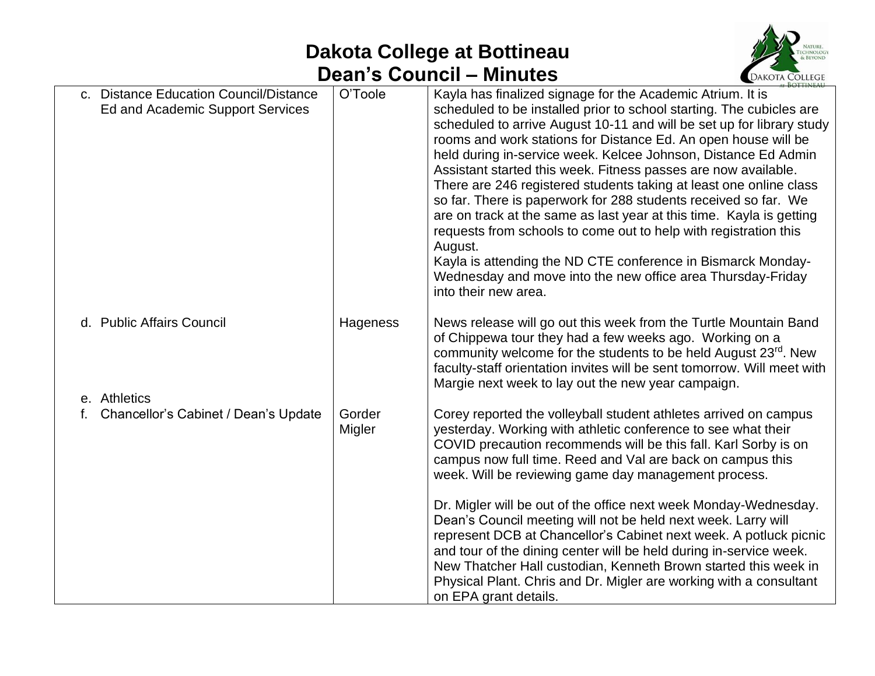## **Dakota College at Bottineau Dean's Council – Minutes**



| c. Distance Education Council/Distance<br>Ed and Academic Support Services | O'Toole          | Kayla has finalized signage for the Academic Atrium. It is<br>scheduled to be installed prior to school starting. The cubicles are<br>scheduled to arrive August 10-11 and will be set up for library study<br>rooms and work stations for Distance Ed. An open house will be<br>held during in-service week. Kelcee Johnson, Distance Ed Admin<br>Assistant started this week. Fitness passes are now available.<br>There are 246 registered students taking at least one online class<br>so far. There is paperwork for 288 students received so far. We<br>are on track at the same as last year at this time. Kayla is getting<br>requests from schools to come out to help with registration this<br>August.<br>Kayla is attending the ND CTE conference in Bismarck Monday-<br>Wednesday and move into the new office area Thursday-Friday<br>into their new area. |
|----------------------------------------------------------------------------|------------------|--------------------------------------------------------------------------------------------------------------------------------------------------------------------------------------------------------------------------------------------------------------------------------------------------------------------------------------------------------------------------------------------------------------------------------------------------------------------------------------------------------------------------------------------------------------------------------------------------------------------------------------------------------------------------------------------------------------------------------------------------------------------------------------------------------------------------------------------------------------------------|
| d. Public Affairs Council                                                  | Hageness         | News release will go out this week from the Turtle Mountain Band<br>of Chippewa tour they had a few weeks ago. Working on a<br>community welcome for the students to be held August 23 <sup>rd</sup> . New<br>faculty-staff orientation invites will be sent tomorrow. Will meet with<br>Margie next week to lay out the new year campaign.                                                                                                                                                                                                                                                                                                                                                                                                                                                                                                                              |
| e. Athletics<br>Chancellor's Cabinet / Dean's Update                       | Gorder<br>Migler | Corey reported the volleyball student athletes arrived on campus<br>yesterday. Working with athletic conference to see what their<br>COVID precaution recommends will be this fall. Karl Sorby is on<br>campus now full time. Reed and Val are back on campus this<br>week. Will be reviewing game day management process.<br>Dr. Migler will be out of the office next week Monday-Wednesday.<br>Dean's Council meeting will not be held next week. Larry will<br>represent DCB at Chancellor's Cabinet next week. A potluck picnic<br>and tour of the dining center will be held during in-service week.<br>New Thatcher Hall custodian, Kenneth Brown started this week in<br>Physical Plant. Chris and Dr. Migler are working with a consultant<br>on EPA grant details.                                                                                             |